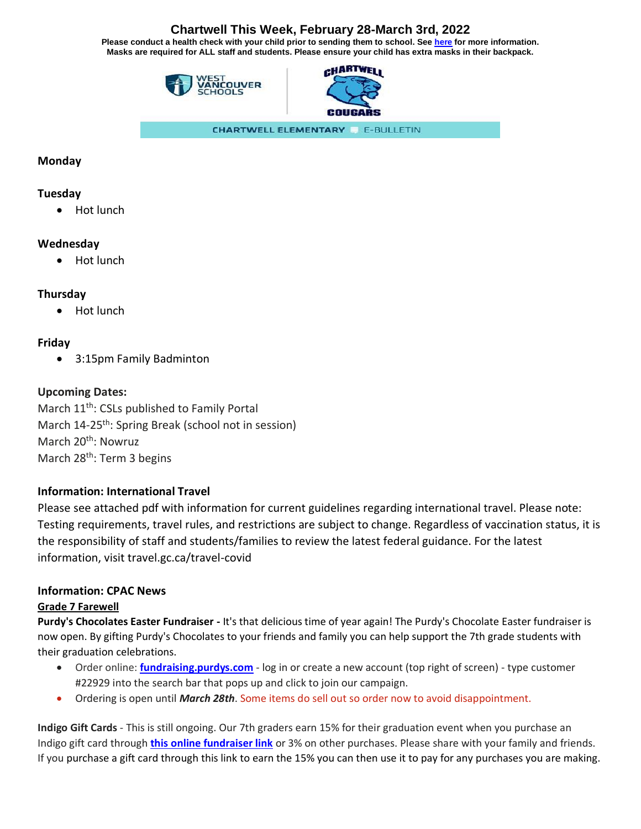# **Chartwell This Week, February 28-March 3rd, 2022**

**Please conduct a health check with your child prior to sending them to school. See [here](https://www.k12dailycheck.gov.bc.ca/healthcheck?execution=e2s1) for more information. Masks are required for ALL staff and students. Please ensure your child has extra masks in their backpack.**





**CHARTWELL ELEMENTARY E-BULLETIN** 

## **Monday**

### **Tuesday**

• Hot lunch

## **Wednesday**

• Hot lunch

## **Thursday**

• Hot lunch

## **Friday**

• 3:15pm Family Badminton

## **Upcoming Dates:**

March 11<sup>th</sup>: CSLs published to Family Portal March 14-25<sup>th</sup>: Spring Break (school not in session) March 20<sup>th</sup>: Nowruz March 28<sup>th</sup>: Term 3 begins

## **Information: International Travel**

Please see attached pdf with information for current guidelines regarding international travel. Please note: Testing requirements, travel rules, and restrictions are subject to change. Regardless of vaccination status, it is the responsibility of staff and students/families to review the latest federal guidance. For the latest information, visit travel.gc.ca/travel-covid

### **Information: CPAC News**

### **Grade 7 Farewell**

**Purdy's Chocolates Easter Fundraiser -** It's that delicious time of year again! The Purdy's Chocolate Easter fundraiser is now open. By gifting Purdy's Chocolates to your friends and family you can help support the 7th grade students with their graduation celebrations.

- Order online: **[fundraising.purdys.com](https://can01.safelinks.protection.outlook.com/?url=https%3A%2F%2Ffundraising.purdys.com%2F&data=04%7C01%7CCHPac%40wvschools.ca%7C287f6d09efd549c2f6ad08d88492d23e%7Cd8013362a39e458b9457674cf091a797%7C0%7C0%7C637405113418168870%7CUnknown%7CTWFpbGZsb3d8eyJWIjoiMC4wLjAwMDAiLCJQIjoiV2luMzIiLCJBTiI6Ik1haWwiLCJXVCI6Mn0%3D%7C1000&sdata=pddYQp1iJCqMsGJhpGd%2BwIXr4PCz2I%2BTFssi42la8fs%3D&reserved=0)** log in or create a new account (top right of screen) type customer #22929 into the search bar that pops up and click to join our campaign.
- Ordering is open until *March 28th*. Some items do sell out so order now to avoid disappointment.

**Indigo Gift Cards** - This is still ongoing. Our 7th graders earn 15% for their graduation event when you purchase an Indigo gift card through **[this online fundraiser link](https://can01.safelinks.protection.outlook.com/?url=https%3A%2F%2Findigofundraising.flipgive.com%2Fteams%2F279216-chartwell-grade-7-farewell-2022-fundraiser%3Ffundraiser_id%3D1528031&data=04%7C01%7CCHPac%40wvschools.ca%7Ca90ebcb9182546f584b308d9e7918d9a%7Cd8013362a39e458b9457674cf091a797%7C0%7C0%7C637795434609325418%7CUnknown%7CTWFpbGZsb3d8eyJWIjoiMC4wLjAwMDAiLCJQIjoiV2luMzIiLCJBTiI6Ik1haWwiLCJXVCI6Mn0%3D%7C2000&sdata=GX9BY8VbojnBQ8SpRS63pBksBGeiOs6vdB7tznbltt8%3D&reserved=0)** or 3% on other purchases. Please share with your family and friends. If you purchase a gift card through this link to earn the 15% you can then use it to pay for any purchases you are making.